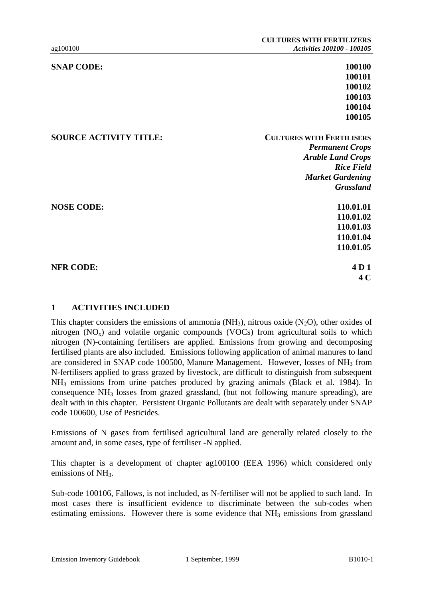| <b>SNAP CODE:</b>             | 100100                           |
|-------------------------------|----------------------------------|
|                               | 100101                           |
|                               | 100102                           |
|                               | 100103                           |
|                               | 100104                           |
|                               | 100105                           |
| <b>SOURCE ACTIVITY TITLE:</b> | <b>CULTURES WITH FERTILISERS</b> |
|                               | <b>Permanent Crops</b>           |
|                               | <b>Arable Land Crops</b>         |
|                               | <b>Rice Field</b>                |
|                               | <b>Market Gardening</b>          |
|                               | <b>Grassland</b>                 |
| <b>NOSE CODE:</b>             | 110.01.01                        |
|                               | 110.01.02                        |
|                               | 110.01.03                        |
|                               | 110.01.04                        |
|                               | 110.01.05                        |
| <b>NFR CODE:</b>              | 4D <sub>1</sub>                  |
|                               | 4 C                              |
|                               |                                  |

### **1 ACTIVITIES INCLUDED**

This chapter considers the emissions of ammonia ( $NH<sub>3</sub>$ ), nitrous oxide (N<sub>2</sub>O), other oxides of nitrogen  $(NO_x)$  and volatile organic compounds  $(VOCs)$  from agricultural soils to which nitrogen (N)-containing fertilisers are applied. Emissions from growing and decomposing fertilised plants are also included. Emissions following application of animal manures to land are considered in SNAP code 100500, Manure Management. However, losses of NH3 from N-fertilisers applied to grass grazed by livestock, are difficult to distinguish from subsequent NH3 emissions from urine patches produced by grazing animals (Black et al. 1984). In consequence NH3 losses from grazed grassland, (but not following manure spreading), are dealt with in this chapter. Persistent Organic Pollutants are dealt with separately under SNAP code 100600, Use of Pesticides.

Emissions of N gases from fertilised agricultural land are generally related closely to the amount and, in some cases, type of fertiliser -N applied.

This chapter is a development of chapter ag100100 (EEA 1996) which considered only emissions of NH<sub>3</sub>.

Sub-code 100106, Fallows, is not included, as N-fertiliser will not be applied to such land. In most cases there is insufficient evidence to discriminate between the sub-codes when estimating emissions. However there is some evidence that NH<sub>3</sub> emissions from grassland

Emission Inventory Guidebook 1 September, 1999 1010-1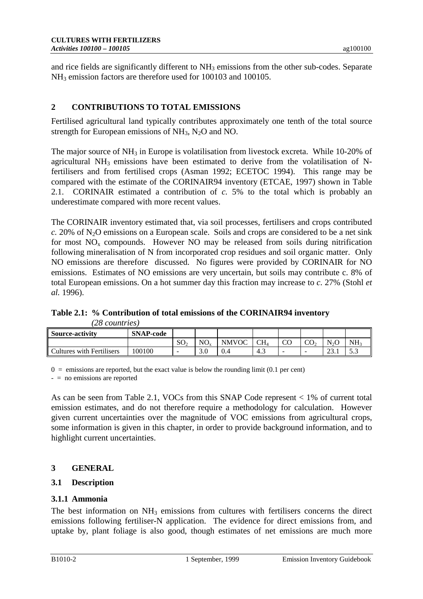and rice fields are significantly different to  $NH<sub>3</sub>$  emissions from the other sub-codes. Separate NH3 emission factors are therefore used for 100103 and 100105.

# **2 CONTRIBUTIONS TO TOTAL EMISSIONS**

Fertilised agricultural land typically contributes approximately one tenth of the total source strength for European emissions of  $NH_3$ ,  $N_2O$  and NO.

The major source of  $NH_3$  in Europe is volatilisation from livestock excreta. While 10-20% of agricultural  $NH_3$  emissions have been estimated to derive from the volatilisation of Nfertilisers and from fertilised crops (Asman 1992; ECETOC 1994). This range may be compared with the estimate of the CORINAIR94 inventory (ETCAE, 1997) shown in Table 2.1. CORINAIR estimated a contribution of *c.* 5% to the total which is probably an underestimate compared with more recent values.

The CORINAIR inventory estimated that, via soil processes, fertilisers and crops contributed  $c.$  20% of  $N_2O$  emissions on a European scale. Soils and crops are considered to be a net sink for most  $NO<sub>x</sub>$  compounds. However NO may be released from soils during nitrification following mineralisation of N from incorporated crop residues and soil organic matter. Only NO emissions are therefore discussed. No figures were provided by CORINAIR for NO emissions. Estimates of NO emissions are very uncertain, but soils may contribute c. 8% of total European emissions. On a hot summer day this fraction may increase to *c*. 27% (Stohl *et al.* 1996).

**Table 2.1: % Contribution of total emissions of the CORINAIR94 inventory** *(28 countries)*

| <b>Source-activity</b>           | <b>SNAP-code</b> |                 |          |              |        |                          |                          |                            |                               |
|----------------------------------|------------------|-----------------|----------|--------------|--------|--------------------------|--------------------------|----------------------------|-------------------------------|
|                                  |                  | SO <sub>2</sub> | $NO_{v}$ | <b>NMVOC</b> | $CH_4$ | $\sim$<br>w              | rη<br>w                  | N <sub>2</sub> O           | NH                            |
| <b>Cultures with Fertilisers</b> | 100100           |                 | J.U      | 0.4          | ن.4    | $\overline{\phantom{a}}$ | $\overline{\phantom{0}}$ | $\sim$<br>$\omega_{\cdot}$ | $\epsilon$ $\gamma$<br>ຸບ . ບ |

 $0 =$  emissions are reported, but the exact value is below the rounding limit (0.1 per cent)

- = no emissions are reported

As can be seen from Table 2.1, VOCs from this SNAP Code represent < 1% of current total emission estimates, and do not therefore require a methodology for calculation. However given current uncertainties over the magnitude of VOC emissions from agricultural crops, some information is given in this chapter, in order to provide background information, and to highlight current uncertainties.

## **3 GENERAL**

## **3.1 Description**

## **3.1.1 Ammonia**

The best information on  $NH_3$  emissions from cultures with fertilisers concerns the direct emissions following fertiliser-N application. The evidence for direct emissions from, and uptake by, plant foliage is also good, though estimates of net emissions are much more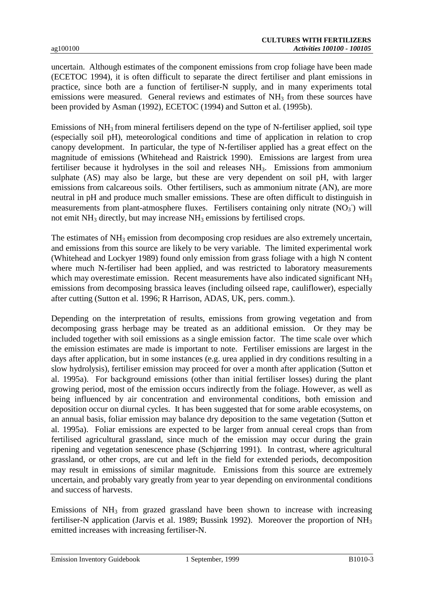uncertain. Although estimates of the component emissions from crop foliage have been made (ECETOC 1994), it is often difficult to separate the direct fertiliser and plant emissions in practice, since both are a function of fertiliser-N supply, and in many experiments total emissions were measured. General reviews and estimates of NH<sub>3</sub> from these sources have been provided by Asman (1992), ECETOC (1994) and Sutton et al. (1995b).

Emissions of  $NH<sub>3</sub>$  from mineral fertilisers depend on the type of N-fertiliser applied, soil type (especially soil pH), meteorological conditions and time of application in relation to crop canopy development. In particular, the type of N-fertiliser applied has a great effect on the magnitude of emissions (Whitehead and Raistrick 1990). Emissions are largest from urea fertiliser because it hydrolyses in the soil and releases NH3. Emissions from ammonium sulphate (AS) may also be large, but these are very dependent on soil pH, with larger emissions from calcareous soils. Other fertilisers, such as ammonium nitrate (AN), are more neutral in pH and produce much smaller emissions. These are often difficult to distinguish in measurements from plant-atmosphere fluxes. Fertilisers containing only nitrate  $(NO<sub>3</sub>)$  will not emit  $NH<sub>3</sub>$  directly, but may increase  $NH<sub>3</sub>$  emissions by fertilised crops.

The estimates of  $NH_3$  emission from decomposing crop residues are also extremely uncertain, and emissions from this source are likely to be very variable. The limited experimental work (Whitehead and Lockyer 1989) found only emission from grass foliage with a high N content where much N-fertiliser had been applied, and was restricted to laboratory measurements which may overestimate emission. Recent measurements have also indicated significant NH<sub>3</sub> emissions from decomposing brassica leaves (including oilseed rape, cauliflower), especially after cutting (Sutton et al. 1996; R Harrison, ADAS, UK, pers. comm.).

Depending on the interpretation of results, emissions from growing vegetation and from decomposing grass herbage may be treated as an additional emission. Or they may be included together with soil emissions as a single emission factor. The time scale over which the emission estimates are made is important to note. Fertiliser emissions are largest in the days after application, but in some instances (e.g. urea applied in dry conditions resulting in a slow hydrolysis), fertiliser emission may proceed for over a month after application (Sutton et al. 1995a). For background emissions (other than initial fertiliser losses) during the plant growing period, most of the emission occurs indirectly from the foliage. However, as well as being influenced by air concentration and environmental conditions, both emission and deposition occur on diurnal cycles. It has been suggested that for some arable ecosystems, on an annual basis, foliar emission may balance dry deposition to the same vegetation (Sutton et al. 1995a). Foliar emissions are expected to be larger from annual cereal crops than from fertilised agricultural grassland, since much of the emission may occur during the grain ripening and vegetation senescence phase (Schjørring 1991). In contrast, where agricultural grassland, or other crops, are cut and left in the field for extended periods, decomposition may result in emissions of similar magnitude. Emissions from this source are extremely uncertain, and probably vary greatly from year to year depending on environmental conditions and success of harvests.

Emissions of  $NH_3$  from grazed grassland have been shown to increase with increasing fertiliser-N application (Jarvis et al. 1989; Bussink 1992). Moreover the proportion of NH<sub>3</sub> emitted increases with increasing fertiliser-N.

Emission Inventory Guidebook 1 September, 1999 B1010-3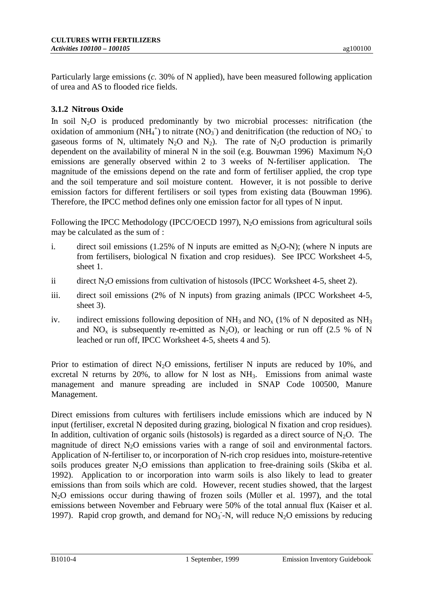Particularly large emissions (*c.* 30% of N applied), have been measured following application of urea and AS to flooded rice fields.

# **3.1.2 Nitrous Oxide**

In soil  $N_2O$  is produced predominantly by two microbial processes: nitrification (the oxidation of ammonium (NH<sub>4</sub><sup>+</sup>) to nitrate (NO<sub>3</sub><sup>-</sup>) and denitrification (the reduction of NO<sub>3</sub><sup>-</sup> to gaseous forms of N, ultimately  $N_2O$  and  $N_2$ ). The rate of  $N_2O$  production is primarily dependent on the availability of mineral N in the soil (e.g. Bouwman 1996) Maximum  $N_2O$ emissions are generally observed within 2 to 3 weeks of N-fertiliser application. The magnitude of the emissions depend on the rate and form of fertiliser applied, the crop type and the soil temperature and soil moisture content. However, it is not possible to derive emission factors for different fertilisers or soil types from existing data (Bouwman 1996). Therefore, the IPCC method defines only one emission factor for all types of N input.

Following the IPCC Methodology (IPCC/OECD 1997),  $N_2O$  emissions from agricultural soils may be calculated as the sum of :

- i. direct soil emissions (1.25% of N inputs are emitted as  $N_2O-N$ ); (where N inputs are from fertilisers, biological N fixation and crop residues). See IPCC Worksheet 4-5, sheet 1.
- ii direct N<sub>2</sub>O emissions from cultivation of histosols (IPCC Worksheet 4-5, sheet 2).
- iii. direct soil emissions (2% of N inputs) from grazing animals (IPCC Worksheet 4-5, sheet 3).
- iv. indirect emissions following deposition of  $NH_3$  and  $NO<sub>x</sub>$  (1% of N deposited as  $NH_3$ ) and  $NO_x$  is subsequently re-emitted as  $N_2O$ , or leaching or run off (2.5 % of N leached or run off, IPCC Worksheet 4-5, sheets 4 and 5).

Prior to estimation of direct  $N_2O$  emissions, fertiliser N inputs are reduced by 10%, and excretal N returns by 20%, to allow for N lost as NH<sub>3</sub>. Emissions from animal waste management and manure spreading are included in SNAP Code 100500, Manure Management.

Direct emissions from cultures with fertilisers include emissions which are induced by N input (fertiliser, excretal N deposited during grazing, biological N fixation and crop residues). In addition, cultivation of organic soils (histosols) is regarded as a direct source of  $N_2O$ . The magnitude of direct  $N_2O$  emissions varies with a range of soil and environmental factors. Application of N-fertiliser to, or incorporation of N-rich crop residues into, moisture-retentive soils produces greater  $N_2O$  emissions than application to free-draining soils (Skiba et al. 1992). Application to or incorporation into warm soils is also likely to lead to greater emissions than from soils which are cold. However, recent studies showed, that the largest N<sub>2</sub>O emissions occur during thawing of frozen soils (Müller et al. 1997), and the total emissions between November and February were 50% of the total annual flux (Kaiser et al. 1997). Rapid crop growth, and demand for  $NO<sub>3</sub>$ -N, will reduce N<sub>2</sub>O emissions by reducing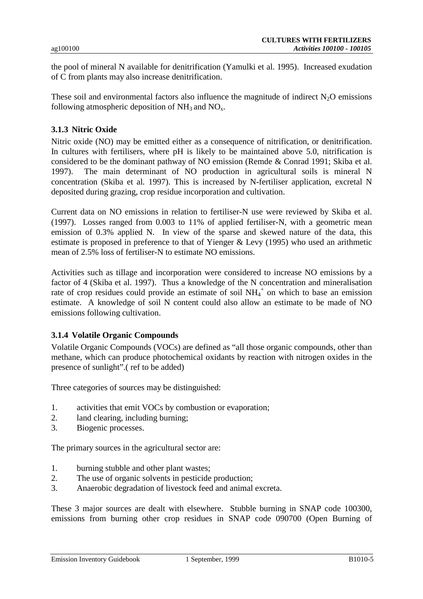the pool of mineral N available for denitrification (Yamulki et al. 1995). Increased exudation of C from plants may also increase denitrification.

These soil and environmental factors also influence the magnitude of indirect  $N_2O$  emissions following atmospheric deposition of  $NH_3$  and  $NO_x$ .

#### **3.1.3 Nitric Oxide**

Nitric oxide (NO) may be emitted either as a consequence of nitrification, or denitrification. In cultures with fertilisers, where pH is likely to be maintained above 5.0, nitrification is considered to be the dominant pathway of NO emission (Remde & Conrad 1991; Skiba et al. 1997). The main determinant of NO production in agricultural soils is mineral N concentration (Skiba et al*.* 1997). This is increased by N-fertiliser application, excretal N deposited during grazing, crop residue incorporation and cultivation.

Current data on NO emissions in relation to fertiliser-N use were reviewed by Skiba et al. (1997). Losses ranged from 0.003 to 11% of applied fertiliser-N, with a geometric mean emission of 0.3% applied N. In view of the sparse and skewed nature of the data, this estimate is proposed in preference to that of Yienger & Levy (1995) who used an arithmetic mean of 2.5% loss of fertiliser-N to estimate NO emissions.

Activities such as tillage and incorporation were considered to increase NO emissions by a factor of 4 (Skiba et al. 1997). Thus a knowledge of the N concentration and mineralisation rate of crop residues could provide an estimate of soil  $NH<sub>4</sub><sup>+</sup>$  on which to base an emission estimate. A knowledge of soil N content could also allow an estimate to be made of NO emissions following cultivation.

#### **3.1.4 Volatile Organic Compounds**

Volatile Organic Compounds (VOCs) are defined as "all those organic compounds, other than methane, which can produce photochemical oxidants by reaction with nitrogen oxides in the presence of sunlight".( ref to be added)

Three categories of sources may be distinguished:

- 1. activities that emit VOCs by combustion or evaporation;
- 2. land clearing, including burning;
- 3. Biogenic processes.

The primary sources in the agricultural sector are:

- 1. burning stubble and other plant wastes;
- 2. The use of organic solvents in pesticide production;
- 3. Anaerobic degradation of livestock feed and animal excreta.

These 3 major sources are dealt with elsewhere. Stubble burning in SNAP code 100300, emissions from burning other crop residues in SNAP code 090700 (Open Burning of

Emission Inventory Guidebook 1 September, 1999 B1010-5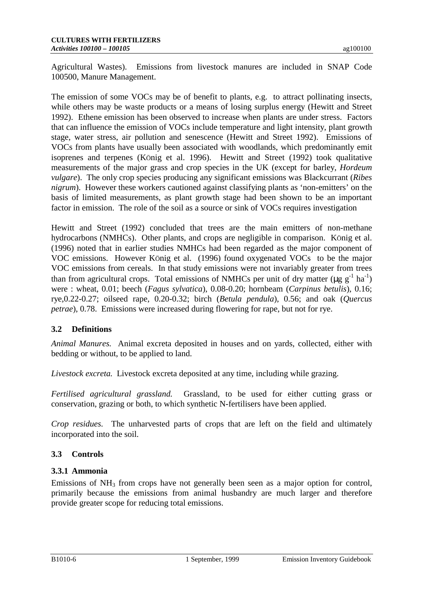Agricultural Wastes). Emissions from livestock manures are included in SNAP Code 100500, Manure Management.

The emission of some VOCs may be of benefit to plants, e.g. to attract pollinating insects, while others may be waste products or a means of losing surplus energy (Hewitt and Street 1992). Ethene emission has been observed to increase when plants are under stress. Factors that can influence the emission of VOCs include temperature and light intensity, plant growth stage, water stress, air pollution and senescence (Hewitt and Street 1992). Emissions of VOCs from plants have usually been associated with woodlands, which predominantly emit isoprenes and terpenes (KÖnig et al. 1996). Hewitt and Street (1992) took qualitative measurements of the major grass and crop species in the UK (except for barley, *Hordeum vulgare*). The only crop species producing any significant emissions was Blackcurrant (*Ribes nigrum*). However these workers cautioned against classifying plants as 'non-emitters' on the basis of limited measurements, as plant growth stage had been shown to be an important factor in emission. The role of the soil as a source or sink of VOCs requires investigation

Hewitt and Street (1992) concluded that trees are the main emitters of non-methane hydrocarbons (NMHCs). Other plants, and crops are negligible in comparison. König et al. (1996) noted that in earlier studies NMHCs had been regarded as the major component of VOC emissions. However KÖnig et al. (1996) found oxygenated VOCs to be the major VOC emissions from cereals. In that study emissions were not invariably greater from trees than from agricultural crops. Total emissions of NMHCs per unit of dry matter ( $\mu$ g g<sup>-1</sup> ha<sup>-1</sup>) were : wheat, 0.01; beech (*Fagus sylvatica*), 0.08-0.20; hornbeam (*Carpinus betulis*), 0.16; rye,0.22-0.27; oilseed rape, 0.20-0.32; birch (*Betula pendula*), 0.56; and oak (*Quercus petrae*), 0.78. Emissions were increased during flowering for rape, but not for rye.

# **3.2 Definitions**

*Animal Manures.* Animal excreta deposited in houses and on yards, collected, either with bedding or without, to be applied to land.

*Livestock excreta.* Livestock excreta deposited at any time, including while grazing.

*Fertilised agricultural grassland.* Grassland, to be used for either cutting grass or conservation, grazing or both, to which synthetic N-fertilisers have been applied.

*Crop residues.* The unharvested parts of crops that are left on the field and ultimately incorporated into the soil.

## **3.3 Controls**

## **3.3.1 Ammonia**

Emissions of  $NH<sub>3</sub>$  from crops have not generally been seen as a major option for control, primarily because the emissions from animal husbandry are much larger and therefore provide greater scope for reducing total emissions.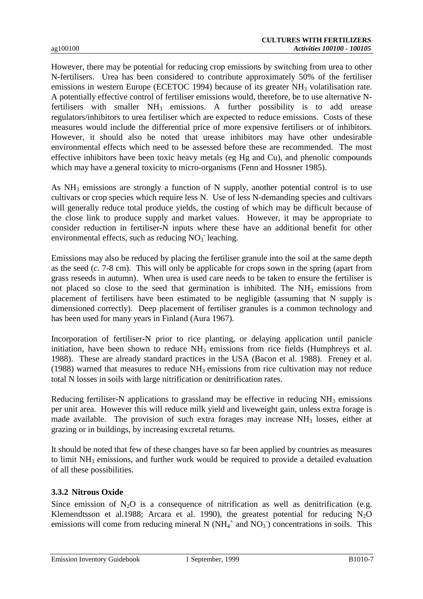However, there may be potential for reducing crop emissions by switching from urea to other N-fertilisers. Urea has been considered to contribute approximately 50% of the fertiliser emissions in western Europe (ECETOC 1994) because of its greater NH<sub>3</sub> volatilisation rate. A potentially effective control of fertiliser emissions would, therefore, be to use alternative Nfertilisers with smaller  $NH_3$  emissions. A further possibility is to add urease regulators/inhibitors to urea fertiliser which are expected to reduce emissions. Costs of these measures would include the differential price of more expensive fertilisers or of inhibitors. However, it should also be noted that urease inhibitors may have other undesirable environmental effects which need to be assessed before these are recommended. The most effective inhibitors have been toxic heavy metals (eg Hg and Cu), and phenolic compounds which may have a general toxicity to micro-organisms (Fenn and Hossner 1985).

As  $NH<sub>3</sub>$  emissions are strongly a function of N supply, another potential control is to use cultivars or crop species which require less N. Use of less N-demanding species and cultivars will generally reduce total produce yields, the costing of which may be difficult because of the close link to produce supply and market values. However, it may be appropriate to consider reduction in fertiliser-N inputs where these have an additional benefit for other environmental effects, such as reducing  $NO<sub>3</sub>$  leaching.

Emissions may also be reduced by placing the fertiliser granule into the soil at the same depth as the seed (*c.* 7-8 cm). This will only be applicable for crops sown in the spring (apart from grass reseeds in autumn). When urea is used care needs to be taken to ensure the fertiliser is not placed so close to the seed that germination is inhibited. The  $NH<sub>3</sub>$  emissions from placement of fertilisers have been estimated to be negligible (assuming that N supply is dimensioned correctly). Deep placement of fertiliser granules is a common technology and has been used for many years in Finland (Aura 1967).

Incorporation of fertiliser-N prior to rice planting, or delaying application until panicle initiation, have been shown to reduce  $NH<sub>3</sub>$  emissions from rice fields (Humphreys et al. 1988). These are already standard practices in the USA (Bacon et al. 1988). Freney et al. (1988) warned that measures to reduce  $NH<sub>3</sub>$  emissions from rice cultivation may not reduce total N losses in soils with large nitrification or denitrification rates.

Reducing fertiliser-N applications to grassland may be effective in reducing NH<sub>3</sub> emissions per unit area. However this will reduce milk yield and liveweight gain, unless extra forage is made available. The provision of such extra forages may increase NH<sub>3</sub> losses, either at grazing or in buildings, by increasing excretal returns.

It should be noted that few of these changes have so far been applied by countries as measures to limit  $NH<sub>3</sub>$  emissions, and further work would be required to provide a detailed evaluation of all these possibilities.

## **3.3.2 Nitrous Oxide**

Since emission of  $N_2O$  is a consequence of nitrification as well as denitrification (e.g. Klemendtsson et al.1988; Arcara et al. 1990), the greatest potential for reducing  $N_2O$ emissions will come from reducing mineral N  $(NH<sub>4</sub><sup>+</sup>$  and  $NO<sub>3</sub><sup>-</sup>)$  concentrations in soils. This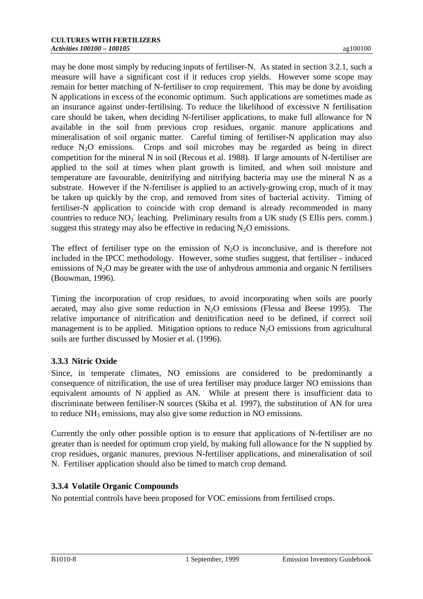may be done most simply by reducing inputs of fertiliser-N. As stated in section 3.2.1, such a measure will have a significant cost if it reduces crop yields. However some scope may remain for better matching of N-fertiliser to crop requirement. This may be done by avoiding N applications in excess of the economic optimum. Such applications are sometimes made as an insurance against under-fertilising. To reduce the likelihood of excessive N fertilisation care should be taken, when deciding N-fertiliser applications, to make full allowance for N available in the soil from previous crop residues, organic manure applications and mineralisation of soil organic matter. Careful timing of fertiliser-N application may also reduce  $N_2O$  emissions. Crops and soil microbes may be regarded as being in direct competition for the mineral N in soil (Recous et al. 1988). If large amounts of N-fertiliser are applied to the soil at times when plant growth is limited, and when soil moisture and temperature are favourable, denitrifying and nitrifying bacteria may use the mineral N as a substrate. However if the N-fertiliser is applied to an actively-growing crop, much of it may be taken up quickly by the crop, and removed from sites of bacterial activity. Timing of fertiliser-N application to coincide with crop demand is already recommended in many countries to reduce NO<sub>3</sub> leaching. Preliminary results from a UK study (S Ellis pers. comm.) suggest this strategy may also be effective in reducing  $N_2O$  emissions.

The effect of fertiliser type on the emission of  $N_2O$  is inconclusive, and is therefore not included in the IPCC methodology. However, some studies suggest, that fertiliser - induced emissions of  $N_2O$  may be greater with the use of anhydrous ammonia and organic N fertilisers (Bouwman, 1996).

Timing the incorporation of crop residues, to avoid incorporating when soils are poorly aerated, may also give some reduction in  $N<sub>2</sub>O$  emissions (Flessa and Beese 1995). The relative importance of nitrification and denitrification need to be defined, if correct soil management is to be applied. Mitigation options to reduce  $N_2O$  emissions from agricultural soils are further discussed by Mosier et al. (1996).

## **3.3.3 Nitric Oxide**

Since, in temperate climates, NO emissions are considered to be predominantly a consequence of nitrification, the use of urea fertiliser may produce larger NO emissions than equivalent amounts of N applied as AN. While at present there is insufficient data to discriminate between fertiliser-N sources (Skiba et al*.* 1997), the substitution of AN for urea to reduce NH3 emissions, may also give some reduction in NO emissions.

Currently the only other possible option is to ensure that applications of N-fertiliser are no greater than is needed for optimum crop yield, by making full allowance for the N supplied by crop residues, organic manures, previous N-fertiliser applications, and mineralisation of soil N. Fertiliser application should also be timed to match crop demand.

# **3.3.4 Volatile Organic Compounds**

No potential controls have been proposed for VOC emissions from fertilised crops.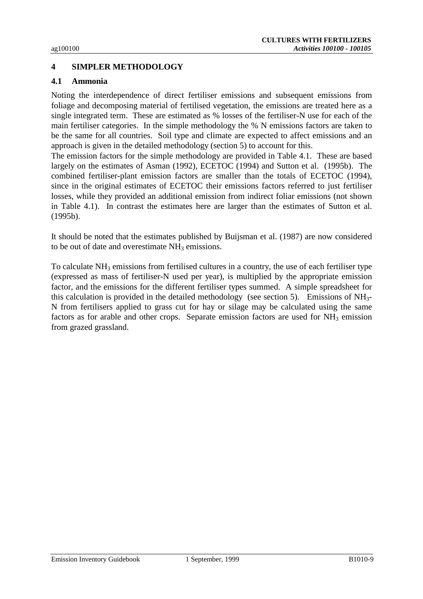# **4 SIMPLER METHODOLOGY**

#### **4.1 Ammonia**

Noting the interdependence of direct fertiliser emissions and subsequent emissions from foliage and decomposing material of fertilised vegetation, the emissions are treated here as a single integrated term. These are estimated as % losses of the fertiliser-N use for each of the main fertiliser categories. In the simple methodology the % N emissions factors are taken to be the same for all countries. Soil type and climate are expected to affect emissions and an approach is given in the detailed methodology (section 5) to account for this.

The emission factors for the simple methodology are provided in Table 4.1. These are based largely on the estimates of Asman (1992), ECETOC (1994) and Sutton et al. (1995b). The combined fertiliser-plant emission factors are smaller than the totals of ECETOC (1994), since in the original estimates of ECETOC their emissions factors referred to just fertiliser losses, while they provided an additional emission from indirect foliar emissions (not shown in Table 4.1). In contrast the estimates here are larger than the estimates of Sutton et al. (1995b).

It should be noted that the estimates published by Buijsman et al. (1987) are now considered to be out of date and overestimate  $NH<sub>3</sub>$  emissions.

To calculate NH3 emissions from fertilised cultures in a country, the use of each fertiliser type (expressed as mass of fertiliser-N used per year), is multiplied by the appropriate emission factor, and the emissions for the different fertiliser types summed. A simple spreadsheet for this calculation is provided in the detailed methodology (see section 5). Emissions of NH3- N from fertilisers applied to grass cut for hay or silage may be calculated using the same factors as for arable and other crops. Separate emission factors are used for NH<sub>3</sub> emission from grazed grassland.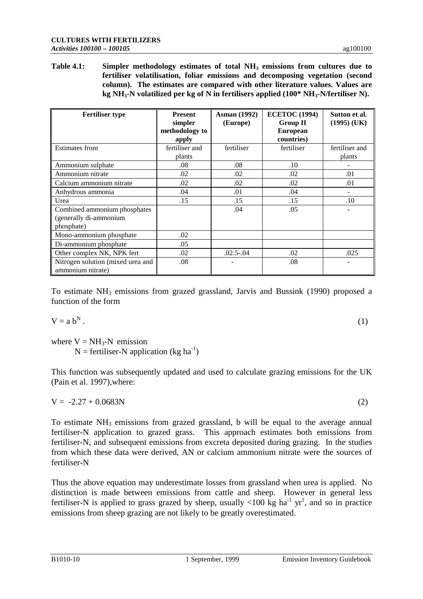Table 4.1: Simpler methodology estimates of total NH<sub>3</sub> emissions from cultures due to **fertiliser volatilisation, foliar emissions and decomposing vegetation (second column). The estimates are compared with other literature values. Values are kg NH3-N volatilized per kg of N in fertilisers applied (100\* NH3-N/fertiliser N).**

| <b>Fertiliser type</b>                                 | <b>Present</b><br>simpler<br>methodology to | <b>Asman</b> (1992)<br>(Europe) | <b>ECETOC</b> (1994)<br><b>Group II</b><br><b>European</b> | Sutton et al.<br>$(1995)$ (UK) |
|--------------------------------------------------------|---------------------------------------------|---------------------------------|------------------------------------------------------------|--------------------------------|
|                                                        | apply                                       |                                 | countries)                                                 |                                |
| <b>Estimates from</b>                                  | fertiliser and                              | fertiliser                      | fertiliser                                                 | fertiliser and                 |
|                                                        | plants                                      |                                 |                                                            | plants                         |
| Ammonium sulphate                                      | .08                                         | .08                             | .10                                                        |                                |
| Ammonium nitrate                                       | .02                                         | .02                             | .02                                                        | .01                            |
| Calcium ammonium nitrate                               | .02                                         | .02                             | .02                                                        | .01                            |
| Anhydrous ammonia                                      | .04                                         | .01                             | .04                                                        |                                |
| Urea                                                   | .15                                         | .15                             | .15                                                        | .10                            |
| Combined ammonium phosphates                           |                                             | .04                             | .05                                                        |                                |
| (generally di-ammonium                                 |                                             |                                 |                                                            |                                |
| phosphate)                                             |                                             |                                 |                                                            |                                |
| Mono-ammonium phosphate                                | .02                                         |                                 |                                                            |                                |
| Di-ammonium phosphate                                  | .05                                         |                                 |                                                            |                                |
| Other complex NK, NPK fert                             | .02                                         | $.02.5-.04$                     | .02                                                        | .025                           |
| Nitrogen solution (mixed urea and<br>ammonium nitrate) | .08                                         |                                 | .08                                                        |                                |

To estimate  $NH_3$  emissions from grazed grassland, Jarvis and Bussink (1990) proposed a function of the form

$$
V = a bN.
$$
 (1)

where  $V = NH_3-N$  emission  $N =$  fertiliser-N application (kg ha<sup>-1</sup>)

This function was subsequently updated and used to calculate grazing emissions for the UK (Pain et al. 1997),where:

 $V = -2.27 + 0.0683N$  (2)

To estimate  $NH_3$  emissions from grazed grassland, b will be equal to the average annual fertiliser-N application to grazed grass. This approach estimates both emissions from fertiliser-N, and subsequent emissions from excreta deposited during grazing. In the studies from which these data were derived, AN or calcium ammonium nitrate were the sources of fertiliser-N

Thus the above equation may underestimate losses from grassland when urea is applied. No distinction is made between emissions from cattle and sheep. However in general less fertiliser-N is applied to grass grazed by sheep, usually  $\langle 100 \text{ kg ha}^{-1} \text{ yr}^1$ , and so in practice emissions from sheep grazing are not likely to be greatly overestimated.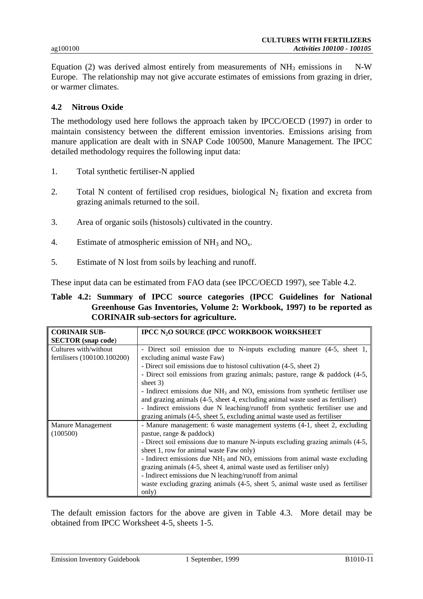Equation (2) was derived almost entirely from measurements of  $NH_3$  emissions in N-W Europe. The relationship may not give accurate estimates of emissions from grazing in drier, or warmer climates.

### **4.2 Nitrous Oxide**

The methodology used here follows the approach taken by IPCC/OECD (1997) in order to maintain consistency between the different emission inventories. Emissions arising from manure application are dealt with in SNAP Code 100500, Manure Management. The IPCC detailed methodology requires the following input data:

- 1. Total synthetic fertiliser-N applied
- 2. Total N content of fertilised crop residues, biological  $N_2$  fixation and excreta from grazing animals returned to the soil.
- 3. Area of organic soils (histosols) cultivated in the country.
- 4. Estimate of atmospheric emission of  $NH_3$  and  $NO<sub>x</sub>$ .
- 5. Estimate of N lost from soils by leaching and runoff.

These input data can be estimated from FAO data (see IPCC/OECD 1997), see Table 4.2.

### **Table 4.2: Summary of IPCC source categories (IPCC Guidelines for National Greenhouse Gas Inventories, Volume 2: Workbook, 1997) to be reported as CORINAIR sub-sectors for agriculture.**

| <b>CORINAIR SUB-</b>        | <b>IPCC N<sub>2</sub>O SOURCE (IPCC WORKBOOK WORKSHEET</b>                         |  |  |  |  |  |  |  |
|-----------------------------|------------------------------------------------------------------------------------|--|--|--|--|--|--|--|
| <b>SECTOR</b> (snap code)   |                                                                                    |  |  |  |  |  |  |  |
| Cultures with/without       | - Direct soil emission due to N-inputs excluding manure (4-5, sheet 1,             |  |  |  |  |  |  |  |
| fertilisers (100100.100200) | excluding animal waste Faw)                                                        |  |  |  |  |  |  |  |
|                             | - Direct soil emissions due to histosol cultivation (4-5, sheet 2)                 |  |  |  |  |  |  |  |
|                             | - Direct soil emissions from grazing animals; pasture, range & paddock (4-5,       |  |  |  |  |  |  |  |
|                             | sheet $3)$                                                                         |  |  |  |  |  |  |  |
|                             | - Indirect emissions due $NH_3$ and $NO_x$ emissions from synthetic fertiliser use |  |  |  |  |  |  |  |
|                             | and grazing animals (4-5, sheet 4, excluding animal waste used as fertiliser)      |  |  |  |  |  |  |  |
|                             | - Indirect emissions due N leaching/runoff from synthetic fertiliser use and       |  |  |  |  |  |  |  |
|                             | grazing animals (4-5, sheet 5, excluding animal waste used as fertiliser           |  |  |  |  |  |  |  |
| <b>Manure Management</b>    | - Manure management: 6 waste management systems (4-1, sheet 2, excluding           |  |  |  |  |  |  |  |
| (100500)                    | pastue, range & paddock)                                                           |  |  |  |  |  |  |  |
|                             | - Direct soil emissions due to manure N-inputs excluding grazing animals (4-5,     |  |  |  |  |  |  |  |
|                             | sheet 1, row for animal waste Faw only)                                            |  |  |  |  |  |  |  |
|                             | - Indirect emissions due $NH_3$ and $NO_x$ emissions from animal waste excluding   |  |  |  |  |  |  |  |
|                             | grazing animals (4-5, sheet 4, animal waste used as fertiliser only)               |  |  |  |  |  |  |  |
|                             | - Indirect emissions due N leaching/runoff from animal                             |  |  |  |  |  |  |  |
|                             | waste excluding grazing animals (4-5, sheet 5, animal waste used as fertiliser     |  |  |  |  |  |  |  |
|                             | only)                                                                              |  |  |  |  |  |  |  |

The default emission factors for the above are given in Table 4.3. More detail may be obtained from IPCC Worksheet 4-5, sheets 1-5.

Emission Inventory Guidebook 1 September, 1999 B1010-11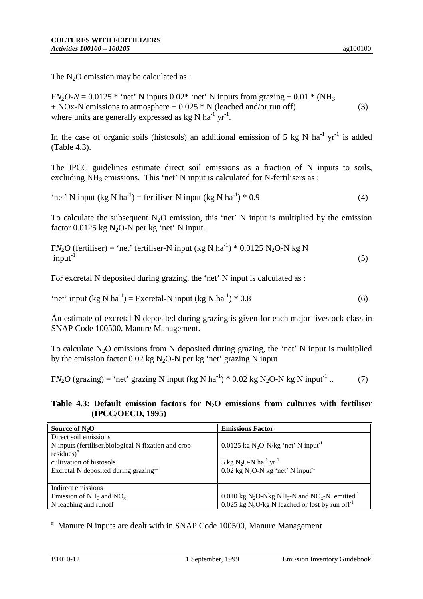The  $N_2O$  emission may be calculated as :

 $FN_2O-N = 0.0125$  \* 'net' N inputs  $0.02$  \* 'net' N inputs from grazing +  $0.01$  \* (NH<sub>3</sub>)  $+$  NOx-N emissions to atmosphere  $+$  0.025  $*$  N (leached and/or run off) (3) where units are generally expressed as  $kg N ha^{-1} yr^{-1}$ .

In the case of organic soils (histosols) an additional emission of 5 kg N ha<sup>-1</sup> yr<sup>-1</sup> is added (Table 4.3).

The IPCC guidelines estimate direct soil emissions as a fraction of N inputs to soils, excluding  $NH_3$  emissions. This 'net' N input is calculated for N-fertilisers as :

'net' N input (kg N ha<sup>-1</sup>) = fertiliser-N input (kg N ha<sup>-1</sup>) \* 0.9 (4)

To calculate the subsequent  $N_2O$  emission, this 'net' N input is multiplied by the emission factor  $0.0125$  kg N<sub>2</sub>O-N per kg 'net' N input.

 $FN<sub>2</sub>O$  (fertiliser) = 'net' fertiliser-N input (kg N ha<sup>-1</sup>) \* 0.0125 N<sub>2</sub>O-N kg N input<sup>-1</sup>  $input^{-1}$  (5)

For excretal N deposited during grazing, the 'net' N input is calculated as :

$$
"net" input (kg N ha-1) = Excretal-N input (kg N ha-1) * 0.8
$$
\n(6)

An estimate of excretal-N deposited during grazing is given for each major livestock class in SNAP Code 100500, Manure Management.

To calculate  $N_2O$  emissions from N deposited during grazing, the 'net' N input is multiplied by the emission factor 0.02 kg N<sub>2</sub>O-N per kg 'net' grazing N input

 $FN<sub>2</sub>O$  (grazing) = 'net' grazing N input (kg N ha<sup>-1</sup>) \* 0.02 kg N<sub>2</sub>O-N kg N input<sup>-1</sup> .. (7)

**Table 4.3: Default emission factors for N2O emissions from cultures with fertiliser (IPCC/OECD, 1995)**

| Source of $N_2O$                                     | <b>Emissions Factor</b>                                                                       |
|------------------------------------------------------|-----------------------------------------------------------------------------------------------|
| Direct soil emissions                                |                                                                                               |
| N inputs (fertiliser, biological N fixation and crop | $0.0125$ kg N <sub>2</sub> O-N/kg 'net' N input <sup>-1</sup>                                 |
| $residues$ <sup>#</sup>                              |                                                                                               |
| cultivation of histosols                             | 5 kg N <sub>2</sub> O-N ha <sup>-1</sup> yr <sup>-1</sup>                                     |
| Excretal N deposited during grazing +                | $0.02$ kg N <sub>2</sub> O-N kg 'net' N input <sup>-1</sup>                                   |
|                                                      |                                                                                               |
| Indirect emissions                                   |                                                                                               |
| Emission of $NH_3$ and $NO_x$                        | 0.010 kg N <sub>2</sub> O-Nkg NH <sub>3</sub> -N and NO <sub>x</sub> -N emitted <sup>-1</sup> |
| N leaching and runoff                                | 0.025 kg N <sub>2</sub> O/kg N leached or lost by run of $f^{-1}$                             |

# Manure N inputs are dealt with in SNAP Code 100500, Manure Management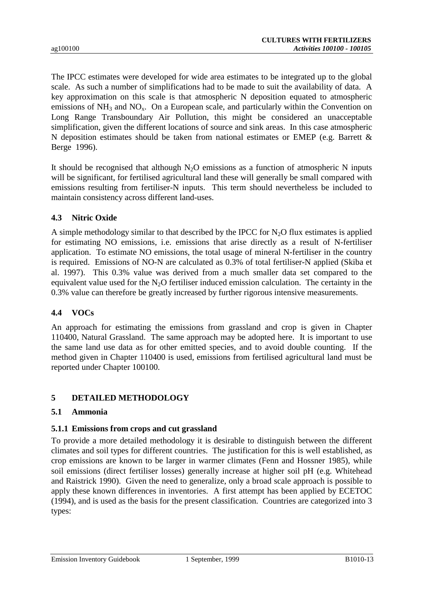The IPCC estimates were developed for wide area estimates to be integrated up to the global scale. As such a number of simplifications had to be made to suit the availability of data. A key approximation on this scale is that atmospheric N deposition equated to atmospheric emissions of  $NH_3$  and  $NO_x$ . On a European scale, and particularly within the Convention on Long Range Transboundary Air Pollution, this might be considered an unacceptable simplification, given the different locations of source and sink areas. In this case atmospheric N deposition estimates should be taken from national estimates or EMEP (e.g. Barrett & Berge 1996).

It should be recognised that although  $N_2O$  emissions as a function of atmospheric N inputs will be significant, for fertilised agricultural land these will generally be small compared with emissions resulting from fertiliser-N inputs. This term should nevertheless be included to maintain consistency across different land-uses.

## **4.3 Nitric Oxide**

A simple methodology similar to that described by the IPCC for  $N_2O$  flux estimates is applied for estimating NO emissions, i.e. emissions that arise directly as a result of N-fertiliser application. To estimate NO emissions, the total usage of mineral N-fertiliser in the country is required. Emissions of NO-N are calculated as 0.3% of total fertiliser-N applied (Skiba et al. 1997). This 0.3% value was derived from a much smaller data set compared to the equivalent value used for the  $N_2O$  fertiliser induced emission calculation. The certainty in the 0.3% value can therefore be greatly increased by further rigorous intensive measurements.

## **4.4 VOCs**

An approach for estimating the emissions from grassland and crop is given in Chapter 110400, Natural Grassland. The same approach may be adopted here. It is important to use the same land use data as for other emitted species, and to avoid double counting. If the method given in Chapter 110400 is used, emissions from fertilised agricultural land must be reported under Chapter 100100.

# **5 DETAILED METHODOLOGY**

## **5.1 Ammonia**

## **5.1.1 Emissions from crops and cut grassland**

To provide a more detailed methodology it is desirable to distinguish between the different climates and soil types for different countries. The justification for this is well established, as crop emissions are known to be larger in warmer climates (Fenn and Hossner 1985), while soil emissions (direct fertiliser losses) generally increase at higher soil pH (e.g. Whitehead and Raistrick 1990). Given the need to generalize, only a broad scale approach is possible to apply these known differences in inventories. A first attempt has been applied by ECETOC (1994), and is used as the basis for the present classification. Countries are categorized into 3 types: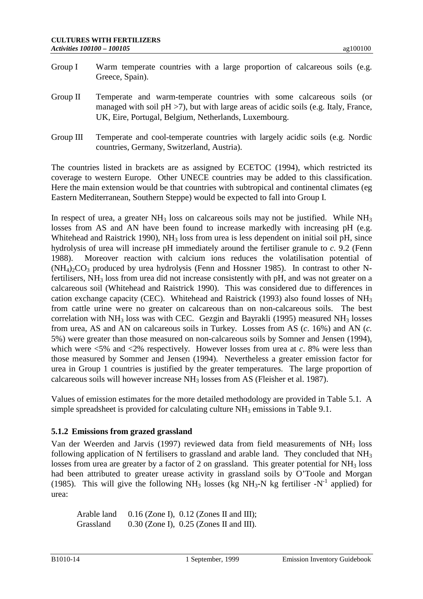- Group I Warm temperate countries with a large proportion of calcareous soils (e.g. Greece, Spain).
- Group II Temperate and warm-temperate countries with some calcareous soils (or managed with soil  $pH > 7$ ), but with large areas of acidic soils (e.g. Italy, France, UK, Eire, Portugal, Belgium, Netherlands, Luxembourg.
- Group III Temperate and cool-temperate countries with largely acidic soils (e.g. Nordic countries, Germany, Switzerland, Austria).

The countries listed in brackets are as assigned by ECETOC (1994), which restricted its coverage to western Europe. Other UNECE countries may be added to this classification. Here the main extension would be that countries with subtropical and continental climates (eg Eastern Mediterranean, Southern Steppe) would be expected to fall into Group I.

In respect of urea, a greater  $NH_3$  loss on calcareous soils may not be justified. While  $NH_3$ losses from AS and AN have been found to increase markedly with increasing pH (e.g. Whitehead and Raistrick 1990), NH<sub>3</sub> loss from urea is less dependent on initial soil pH, since hydrolysis of urea will increase pH immediately around the fertiliser granule to *c.* 9.2 (Fenn 1988). Moreover reaction with calcium ions reduces the volatilisation potential of  $(NH<sub>4</sub>)<sub>2</sub>CO<sub>3</sub>$  produced by urea hydrolysis (Fenn and Hossner 1985). In contrast to other Nfertilisers, NH<sub>3</sub> loss from urea did not increase consistently with pH, and was not greater on a calcareous soil (Whitehead and Raistrick 1990). This was considered due to differences in cation exchange capacity (CEC). Whitehead and Raistrick (1993) also found losses of NH3 from cattle urine were no greater on calcareous than on non-calcareous soils. The best correlation with  $NH_3$  loss was with CEC. Gezgin and Bayrakli (1995) measured  $NH_3$  losses from urea, AS and AN on calcareous soils in Turkey. Losses from AS (*c*. 16%) and AN (*c.* 5%) were greater than those measured on non-calcareous soils by Somner and Jensen (1994), which were <5% and <2% respectively. However losses from urea at *c*. 8% were less than those measured by Sommer and Jensen (1994). Nevertheless a greater emission factor for urea in Group 1 countries is justified by the greater temperatures. The large proportion of calcareous soils will however increase NH3 losses from AS (Fleisher et al. 1987).

Values of emission estimates for the more detailed methodology are provided in Table 5.1. A simple spreadsheet is provided for calculating culture  $NH<sub>3</sub>$  emissions in Table 9.1.

## **5.1.2 Emissions from grazed grassland**

Van der Weerden and Jarvis (1997) reviewed data from field measurements of NH3 loss following application of N fertilisers to grassland and arable land. They concluded that  $NH<sub>3</sub>$ losses from urea are greater by a factor of 2 on grassland. This greater potential for  $NH<sub>3</sub>$  loss had been attributed to greater urease activity in grassland soils by O'Toole and Morgan (1985). This will give the following  $NH_3$  losses (kg  $NH_3-N$  kg fertiliser  $-N^{-1}$  applied) for urea:

Arable land 0.16 (Zone I), 0.12 (Zones II and III); Grassland 0.30 (Zone I), 0.25 (Zones II and III).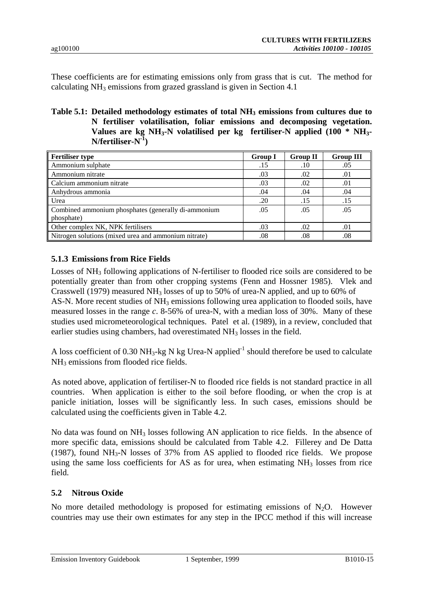These coefficients are for estimating emissions only from grass that is cut. The method for calculating NH3 emissions from grazed grassland is given in Section 4.1

**Table 5.1: Detailed methodology estimates of total NH3 emissions from cultures due to N fertiliser volatilisation, foliar emissions and decomposing vegetation. Values are kg NH3-N volatilised per kg fertiliser-N applied (100 \* NH3- N/fertiliser-N-1)**

| <b>Fertiliser type</b>                               | <b>Group I</b> | <b>Group II</b> | <b>Group III</b> |
|------------------------------------------------------|----------------|-----------------|------------------|
| Ammonium sulphate                                    | .15            | .10             | .05              |
| Ammonium nitrate                                     | .03            | .02             | .01              |
| Calcium ammonium nitrate                             | .03            | .02             | .01              |
| Anhydrous ammonia                                    | .04            | .04             | .04              |
| Urea                                                 | .20            | .15             | .15              |
| Combined ammonium phosphates (generally di-ammonium  | .05            | .05             | .05              |
| phosphate)                                           |                |                 |                  |
| Other complex NK, NPK fertilisers                    | .03            | .02             | .01              |
| Nitrogen solutions (mixed urea and ammonium nitrate) | .08            | .08             | .08              |

#### **5.1.3 Emissions from Rice Fields**

Losses of  $NH<sub>3</sub>$  following applications of N-fertiliser to flooded rice soils are considered to be potentially greater than from other cropping systems (Fenn and Hossner 1985). Vlek and Crasswell (1979) measured NH3 losses of up to 50% of urea-N applied, and up to 60% of AS-N. More recent studies of NH<sub>3</sub> emissions following urea application to flooded soils, have measured losses in the range *c*. 8-56% of urea-N, with a median loss of 30%. Many of these studies used micrometeorological techniques. Patel et al. (1989), in a review, concluded that earlier studies using chambers, had overestimated NH<sub>3</sub> losses in the field.

A loss coefficient of 0.30 NH<sub>3</sub>-kg N kg Urea-N applied<sup>-1</sup> should therefore be used to calculate NH<sub>3</sub> emissions from flooded rice fields.

As noted above, application of fertiliser-N to flooded rice fields is not standard practice in all countries. When application is either to the soil before flooding, or when the crop is at panicle initiation, losses will be significantly less. In such cases, emissions should be calculated using the coefficients given in Table 4.2.

No data was found on  $NH_3$  losses following AN application to rice fields. In the absence of more specific data, emissions should be calculated from Table 4.2. Fillerey and De Datta (1987), found  $NH_3-N$  losses of 37% from AS applied to flooded rice fields. We propose using the same loss coefficients for AS as for urea, when estimating  $NH<sub>3</sub>$  losses from rice field.

#### **5.2 Nitrous Oxide**

No more detailed methodology is proposed for estimating emissions of  $N_2O$ . However countries may use their own estimates for any step in the IPCC method if this will increase

Emission Inventory Guidebook 1 September, 1999 B1010-15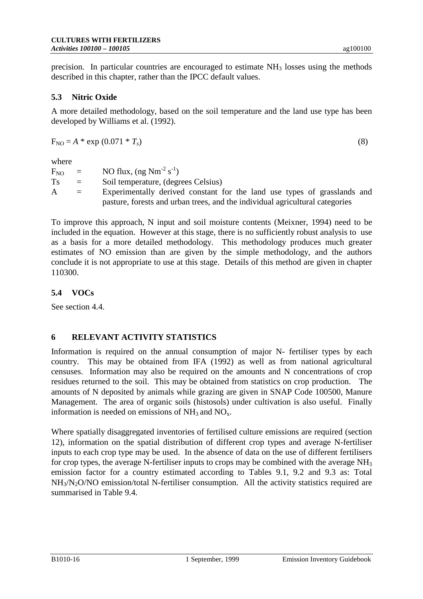precision. In particular countries are encouraged to estimate  $NH<sub>3</sub>$  losses using the methods described in this chapter, rather than the IPCC default values.

# **5.3 Nitric Oxide**

A more detailed methodology, based on the soil temperature and the land use type has been developed by Williams et al. (1992).

 $F_{NO} = A * exp(0.071 * T_s)$  (8)

where

| $F_{NO}$ | $\equiv$ . | NO flux, $(ng Nm^{-2} s^{-1})$                                               |
|----------|------------|------------------------------------------------------------------------------|
| Ts       | $=$        | Soil temperature, (degrees Celsius)                                          |
| A        | $\equiv$   | Experimentally derived constant for the land use types of grasslands and     |
|          |            | pasture, forests and urban trees, and the individual agricultural categories |

To improve this approach, N input and soil moisture contents (Meixner, 1994) need to be included in the equation. However at this stage, there is no sufficiently robust analysis to use as a basis for a more detailed methodology. This methodology produces much greater estimates of NO emission than are given by the simple methodology, and the authors conclude it is not appropriate to use at this stage. Details of this method are given in chapter 110300.

# **5.4 VOCs**

See section 4.4.

## **6 RELEVANT ACTIVITY STATISTICS**

Information is required on the annual consumption of major N- fertiliser types by each country. This may be obtained from IFA (1992) as well as from national agricultural censuses. Information may also be required on the amounts and N concentrations of crop residues returned to the soil. This may be obtained from statistics on crop production. The amounts of N deposited by animals while grazing are given in SNAP Code 100500, Manure Management. The area of organic soils (histosols) under cultivation is also useful. Finally information is needed on emissions of  $NH<sub>3</sub>$  and  $NO<sub>x</sub>$ .

Where spatially disaggregated inventories of fertilised culture emissions are required (section 12), information on the spatial distribution of different crop types and average N-fertiliser inputs to each crop type may be used. In the absence of data on the use of different fertilisers for crop types, the average N-fertiliser inputs to crops may be combined with the average  $NH<sub>3</sub>$ emission factor for a country estimated according to Tables 9.1, 9.2 and 9.3 as: Total NH<sub>3</sub>/N<sub>2</sub>O/NO emission/total N-fertiliser consumption. All the activity statistics required are summarised in Table 9.4.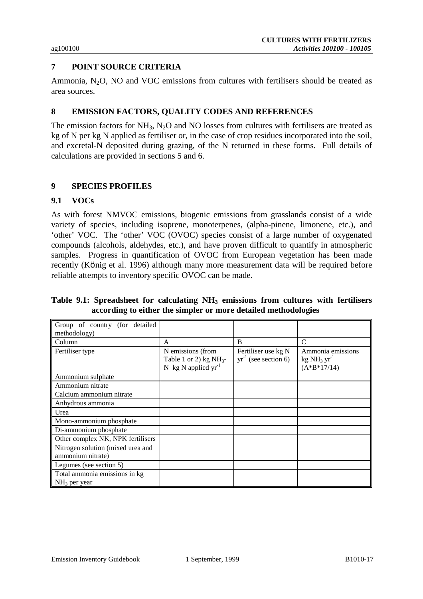# **7 POINT SOURCE CRITERIA**

Ammonia,  $N_2O$ , NO and VOC emissions from cultures with fertilisers should be treated as area sources.

### **8 EMISSION FACTORS, QUALITY CODES AND REFERENCES**

The emission factors for  $NH_3$ ,  $N_2O$  and NO losses from cultures with fertilisers are treated as kg of N per kg N applied as fertiliser or, in the case of crop residues incorporated into the soil, and excretal-N deposited during grazing, of the N returned in these forms. Full details of calculations are provided in sections 5 and 6.

### **9 SPECIES PROFILES**

### **9.1 VOCs**

As with forest NMVOC emissions, biogenic emissions from grasslands consist of a wide variety of species, including isoprene, monoterpenes, (alpha-pinene, limonene, etc.), and 'other' VOC. The 'other' VOC (OVOC) species consist of a large number of oxygenated compounds (alcohols, aldehydes, etc.), and have proven difficult to quantify in atmospheric samples. Progress in quantification of OVOC from European vegetation has been made recently (König et al. 1996) although many more measurement data will be required before reliable attempts to inventory specific OVOC can be made.

|  | Table 9.1: Spreadsheet for calculating NH <sub>3</sub> emissions from cultures with fertilisers |  |  |  |  |
|--|-------------------------------------------------------------------------------------------------|--|--|--|--|
|  | according to either the simpler or more detailed methodologies                                  |  |  |  |  |

| Group of country (for detailed    |                           |                           |                   |
|-----------------------------------|---------------------------|---------------------------|-------------------|
| methodology)                      |                           |                           |                   |
| Column                            | $\mathsf{A}$              | B                         | $\mathsf{C}$      |
| Fertiliser type                   | N emissions (from         | Fertiliser use kg N       | Ammonia emissions |
|                                   | Table 1 or 2) $kg NH_3$ - | $yr^{-1}$ (see section 6) | $kg NH3 yr-1$     |
|                                   | N kg N applied $yr^{-1}$  |                           | $(A*B*17/14)$     |
| Ammonium sulphate                 |                           |                           |                   |
| Ammonium nitrate                  |                           |                           |                   |
| Calcium ammonium nitrate          |                           |                           |                   |
| Anhydrous ammonia                 |                           |                           |                   |
| Urea                              |                           |                           |                   |
| Mono-ammonium phosphate           |                           |                           |                   |
| Di-ammonium phosphate             |                           |                           |                   |
| Other complex NK, NPK fertilisers |                           |                           |                   |
| Nitrogen solution (mixed urea and |                           |                           |                   |
| ammonium nitrate)                 |                           |                           |                   |
| Legumes (see section 5)           |                           |                           |                   |
| Total ammonia emissions in kg     |                           |                           |                   |
| $NH3$ per year                    |                           |                           |                   |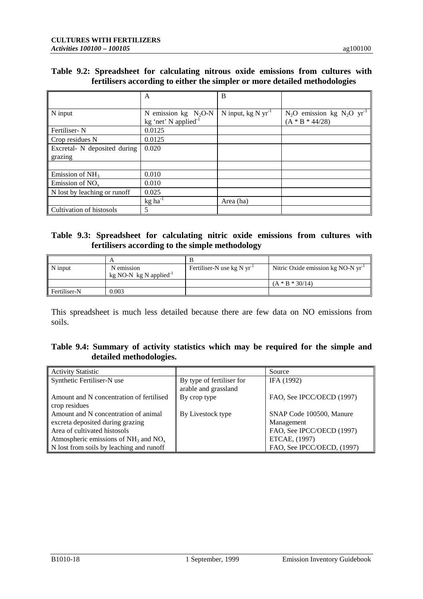### **Table 9.2: Spreadsheet for calculating nitrous oxide emissions from cultures with fertilisers according to either the simpler or more detailed methodologies**

|                              | A                                | B                       |                                            |
|------------------------------|----------------------------------|-------------------------|--------------------------------------------|
|                              |                                  |                         |                                            |
| N input                      | N emission $kg \text{ } N_2O-N$  | N input, $kg N yr^{-1}$ | $N_2O$ emission kg $N_2O$ yr <sup>-1</sup> |
|                              | kg 'net' N applied <sup>-1</sup> |                         | $(A * B * 44/28)$                          |
| Fertiliser-N                 | 0.0125                           |                         |                                            |
| Crop residues N              | 0.0125                           |                         |                                            |
| Excretal- N deposited during | 0.020                            |                         |                                            |
| grazing                      |                                  |                         |                                            |
|                              |                                  |                         |                                            |
| Emission of $NH3$            | 0.010                            |                         |                                            |
| Emission of $NOx$            | 0.010                            |                         |                                            |
| N lost by leaching or runoff | 0.025                            |                         |                                            |
|                              | $kg$ ha <sup>-1</sup>            | Area (ha)               |                                            |
| Cultivation of histosols     | 5                                |                         |                                            |

#### **Table 9.3: Spreadsheet for calculating nitric oxide emissions from cultures with fertilisers according to the simple methodology**

| N input      | N emission<br>kg NO-N kg N applied <sup>-1</sup> | Fertiliser-N use $kg N yr^{-1}$ | Nitric Oxide emission kg NO-N yr <sup>1</sup> |
|--------------|--------------------------------------------------|---------------------------------|-----------------------------------------------|
|              |                                                  |                                 | $(A * B * 30/14)$                             |
| Fertiliser-N | 0.003                                            |                                 |                                               |

This spreadsheet is much less detailed because there are few data on NO emissions from soils.

# **Table 9.4: Summary of activity statistics which may be required for the simple and detailed methodologies.**

| <b>Activity Statistic</b>                 |                           | Source                     |
|-------------------------------------------|---------------------------|----------------------------|
| Synthetic Fertiliser-N use                | By type of fertiliser for | IFA (1992)                 |
|                                           | arable and grassland      |                            |
| Amount and N concentration of fertilised  | By crop type              | FAO, See IPCC/OECD (1997)  |
| crop residues                             |                           |                            |
| Amount and N concentration of animal      | By Livestock type         | SNAP Code 100500, Manure   |
| excreta deposited during grazing          |                           | Management                 |
| Area of cultivated histosols              |                           | FAO, See IPCC/OECD (1997)  |
| Atmospheric emissions of $NH_3$ and $NOx$ |                           | ETCAE, (1997)              |
| N lost from soils by leaching and runoff  |                           | FAO, See IPCC/OECD, (1997) |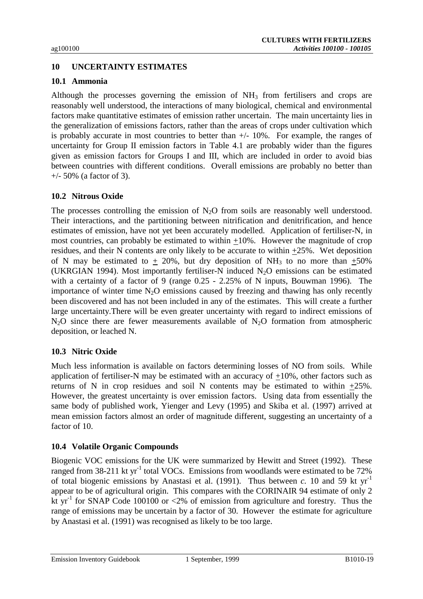## **10 UNCERTAINTY ESTIMATES**

#### **10.1 Ammonia**

Although the processes governing the emission of  $NH<sub>3</sub>$  from fertilisers and crops are reasonably well understood, the interactions of many biological, chemical and environmental factors make quantitative estimates of emission rather uncertain. The main uncertainty lies in the generalization of emissions factors, rather than the areas of crops under cultivation which is probably accurate in most countries to better than +/- 10%. For example, the ranges of uncertainty for Group II emission factors in Table 4.1 are probably wider than the figures given as emission factors for Groups I and III, which are included in order to avoid bias between countries with different conditions. Overall emissions are probably no better than +/- 50% (a factor of 3).

#### **10.2 Nitrous Oxide**

The processes controlling the emission of  $N_2O$  from soils are reasonably well understood. Their interactions, and the partitioning between nitrification and denitrification, and hence estimates of emission, have not yet been accurately modelled. Application of fertiliser-N, in most countries, can probably be estimated to within +10%. However the magnitude of crop residues, and their N contents are only likely to be accurate to within +25%. Wet deposition of N may be estimated to  $+20\%$ , but dry deposition of NH<sub>3</sub> to no more than  $+50\%$ (UKRGIAN 1994). Most importantly fertiliser-N induced  $N_2O$  emissions can be estimated with a certainty of a factor of 9 (range 0.25 - 2.25% of N inputs, Bouwman 1996). The importance of winter time  $N_2O$  emissions caused by freezing and thawing has only recently been discovered and has not been included in any of the estimates. This will create a further large uncertainty.There will be even greater uncertainty with regard to indirect emissions of  $N_2O$  since there are fewer measurements available of  $N_2O$  formation from atmospheric deposition, or leached N.

#### **10.3 Nitric Oxide**

Much less information is available on factors determining losses of NO from soils. While application of fertiliser-N may be estimated with an accuracy of  $+10\%$ , other factors such as returns of N in crop residues and soil N contents may be estimated to within +25%. However, the greatest uncertainty is over emission factors. Using data from essentially the same body of published work, Yienger and Levy (1995) and Skiba et al. (1997) arrived at mean emission factors almost an order of magnitude different, suggesting an uncertainty of a factor of 10.

#### **10.4 Volatile Organic Compounds**

Biogenic VOC emissions for the UK were summarized by Hewitt and Street (1992). These ranged from  $38-211$  kt yr<sup>-1</sup> total VOCs. Emissions from woodlands were estimated to be  $72\%$ of total biogenic emissions by Anastasi et al. (1991). Thus between *c*. 10 and 59 kt  $yr^{-1}$ appear to be of agricultural origin. This compares with the CORINAIR 94 estimate of only 2 kt yr<sup>-1</sup> for SNAP Code 100100 or <2% of emission from agriculture and forestry. Thus the range of emissions may be uncertain by a factor of 30. However the estimate for agriculture by Anastasi et al. (1991) was recognised as likely to be too large.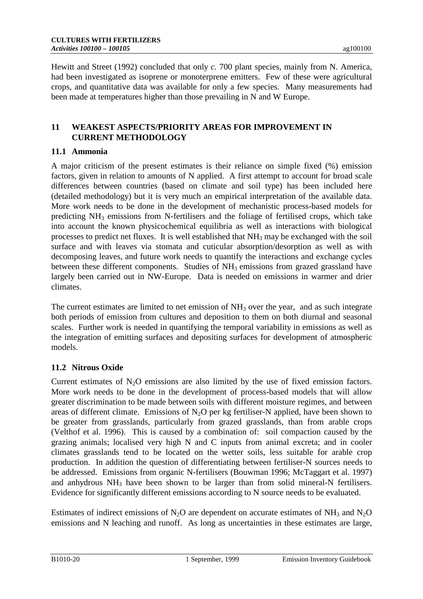Hewitt and Street (1992) concluded that only *c.* 700 plant species, mainly from N. America, had been investigated as isoprene or monoterprene emitters. Few of these were agricultural crops, and quantitative data was available for only a few species. Many measurements had been made at temperatures higher than those prevailing in N and W Europe.

# **11 WEAKEST ASPECTS/PRIORITY AREAS FOR IMPROVEMENT IN CURRENT METHODOLOGY**

# **11.1 Ammonia**

A major criticism of the present estimates is their reliance on simple fixed (%) emission factors, given in relation to amounts of N applied. A first attempt to account for broad scale differences between countries (based on climate and soil type) has been included here (detailed methodology) but it is very much an empirical interpretation of the available data. More work needs to be done in the development of mechanistic process-based models for predicting  $NH_3$  emissions from N-fertilisers and the foliage of fertilised crops, which take into account the known physicochemical equilibria as well as interactions with biological processes to predict net fluxes. It is well established that NH3 may be exchanged with the soil surface and with leaves via stomata and cuticular absorption/desorption as well as with decomposing leaves, and future work needs to quantify the interactions and exchange cycles between these different components. Studies of NH<sub>3</sub> emissions from grazed grassland have largely been carried out in NW-Europe. Data is needed on emissions in warmer and drier climates.

The current estimates are limited to net emission of NH<sub>3</sub> over the year, and as such integrate both periods of emission from cultures and deposition to them on both diurnal and seasonal scales. Further work is needed in quantifying the temporal variability in emissions as well as the integration of emitting surfaces and depositing surfaces for development of atmospheric models.

# **11.2 Nitrous Oxide**

Current estimates of  $N_2O$  emissions are also limited by the use of fixed emission factors. More work needs to be done in the development of process-based models that will allow greater discrimination to be made between soils with different moisture regimes, and between areas of different climate. Emissions of  $N_2O$  per kg fertiliser-N applied, have been shown to be greater from grasslands, particularly from grazed grasslands, than from arable crops (Velthof et al. 1996). This is caused by a combination of: soil compaction caused by the grazing animals; localised very high N and C inputs from animal excreta; and in cooler climates grasslands tend to be located on the wetter soils, less suitable for arable crop production. In addition the question of differentiating between fertiliser-N sources needs to be addressed. Emissions from organic N-fertilisers (Bouwman 1996; McTaggart et al. 1997) and anhydrous NH<sub>3</sub> have been shown to be larger than from solid mineral-N fertilisers. Evidence for significantly different emissions according to N source needs to be evaluated.

Estimates of indirect emissions of N<sub>2</sub>O are dependent on accurate estimates of NH<sub>3</sub> and N<sub>2</sub>O emissions and N leaching and runoff. As long as uncertainties in these estimates are large,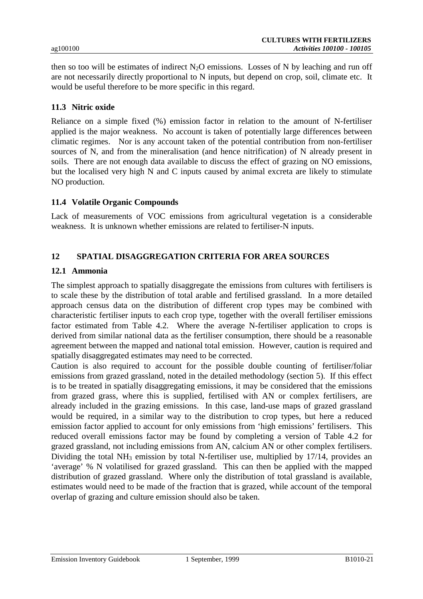then so too will be estimates of indirect  $N_2O$  emissions. Losses of N by leaching and run off are not necessarily directly proportional to N inputs, but depend on crop, soil, climate etc. It would be useful therefore to be more specific in this regard.

#### **11.3 Nitric oxide**

Reliance on a simple fixed (%) emission factor in relation to the amount of N-fertiliser applied is the major weakness. No account is taken of potentially large differences between climatic regimes. Nor is any account taken of the potential contribution from non-fertiliser sources of N, and from the mineralisation (and hence nitrification) of N already present in soils. There are not enough data available to discuss the effect of grazing on NO emissions, but the localised very high N and C inputs caused by animal excreta are likely to stimulate NO production.

### **11.4 Volatile Organic Compounds**

Lack of measurements of VOC emissions from agricultural vegetation is a considerable weakness. It is unknown whether emissions are related to fertiliser-N inputs.

### **12 SPATIAL DISAGGREGATION CRITERIA FOR AREA SOURCES**

### **12.1 Ammonia**

The simplest approach to spatially disaggregate the emissions from cultures with fertilisers is to scale these by the distribution of total arable and fertilised grassland. In a more detailed approach census data on the distribution of different crop types may be combined with characteristic fertiliser inputs to each crop type, together with the overall fertiliser emissions factor estimated from Table 4.2. Where the average N-fertiliser application to crops is derived from similar national data as the fertiliser consumption, there should be a reasonable agreement between the mapped and national total emission. However, caution is required and spatially disaggregated estimates may need to be corrected.

Caution is also required to account for the possible double counting of fertiliser/foliar emissions from grazed grassland, noted in the detailed methodology (section 5). If this effect is to be treated in spatially disaggregating emissions, it may be considered that the emissions from grazed grass, where this is supplied, fertilised with AN or complex fertilisers, are already included in the grazing emissions. In this case, land-use maps of grazed grassland would be required, in a similar way to the distribution to crop types, but here a reduced emission factor applied to account for only emissions from 'high emissions' fertilisers. This reduced overall emissions factor may be found by completing a version of Table 4.2 for grazed grassland, not including emissions from AN, calcium AN or other complex fertilisers. Dividing the total NH<sub>3</sub> emission by total N-fertiliser use, multiplied by  $17/14$ , provides an 'average' % N volatilised for grazed grassland. This can then be applied with the mapped distribution of grazed grassland. Where only the distribution of total grassland is available, estimates would need to be made of the fraction that is grazed, while account of the temporal overlap of grazing and culture emission should also be taken.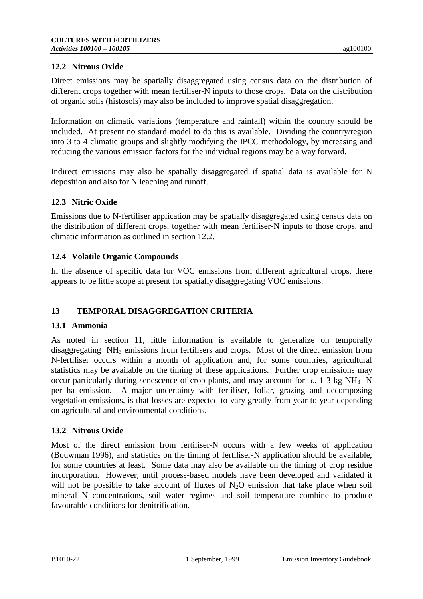## **12.2 Nitrous Oxide**

Direct emissions may be spatially disaggregated using census data on the distribution of different crops together with mean fertiliser-N inputs to those crops. Data on the distribution of organic soils (histosols) may also be included to improve spatial disaggregation.

Information on climatic variations (temperature and rainfall) within the country should be included. At present no standard model to do this is available. Dividing the country/region into 3 to 4 climatic groups and slightly modifying the IPCC methodology, by increasing and reducing the various emission factors for the individual regions may be a way forward.

Indirect emissions may also be spatially disaggregated if spatial data is available for N deposition and also for N leaching and runoff.

### **12.3 Nitric Oxide**

Emissions due to N-fertiliser application may be spatially disaggregated using census data on the distribution of different crops, together with mean fertiliser-N inputs to those crops, and climatic information as outlined in section 12.2.

### **12.4 Volatile Organic Compounds**

In the absence of specific data for VOC emissions from different agricultural crops, there appears to be little scope at present for spatially disaggregating VOC emissions.

## **13 TEMPORAL DISAGGREGATION CRITERIA**

#### **13.1 Ammonia**

As noted in section 11, little information is available to generalize on temporally disaggregating NH3 emissions from fertilisers and crops. Most of the direct emission from N-fertiliser occurs within a month of application and, for some countries, agricultural statistics may be available on the timing of these applications. Further crop emissions may occur particularly during senescence of crop plants, and may account for  $c$ . 1-3 kg NH<sub>3</sub>- N per ha emission. A major uncertainty with fertiliser, foliar, grazing and decomposing vegetation emissions, is that losses are expected to vary greatly from year to year depending on agricultural and environmental conditions.

#### **13.2 Nitrous Oxide**

Most of the direct emission from fertiliser-N occurs with a few weeks of application (Bouwman 1996), and statistics on the timing of fertiliser-N application should be available, for some countries at least. Some data may also be available on the timing of crop residue incorporation. However, until process-based models have been developed and validated it will not be possible to take account of fluxes of  $N_2O$  emission that take place when soil mineral N concentrations, soil water regimes and soil temperature combine to produce favourable conditions for denitrification.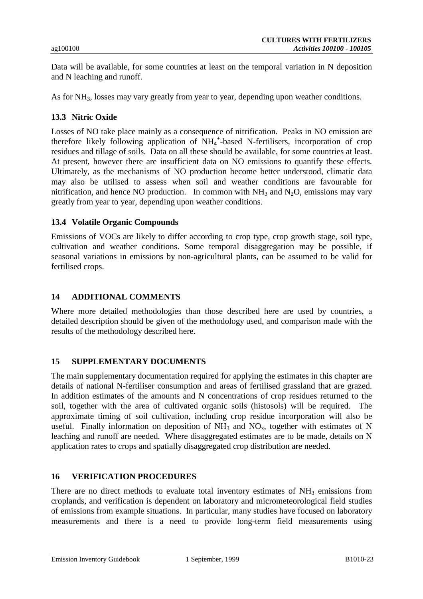Data will be available, for some countries at least on the temporal variation in N deposition and N leaching and runoff.

As for NH<sub>3</sub>, losses may vary greatly from year to year, depending upon weather conditions.

#### **13.3 Nitric Oxide**

Losses of NO take place mainly as a consequence of nitrification. Peaks in NO emission are therefore likely following application of NH<sub>4</sub><sup>+</sup>-based N-fertilisers, incorporation of crop residues and tillage of soils. Data on all these should be available, for some countries at least. At present, however there are insufficient data on NO emissions to quantify these effects. Ultimately, as the mechanisms of NO production become better understood, climatic data may also be utilised to assess when soil and weather conditions are favourable for nitrification, and hence NO production. In common with  $NH<sub>3</sub>$  and N<sub>2</sub>O, emissions may vary greatly from year to year, depending upon weather conditions.

#### **13.4 Volatile Organic Compounds**

Emissions of VOCs are likely to differ according to crop type, crop growth stage, soil type, cultivation and weather conditions. Some temporal disaggregation may be possible, if seasonal variations in emissions by non-agricultural plants, can be assumed to be valid for fertilised crops.

#### **14 ADDITIONAL COMMENTS**

Where more detailed methodologies than those described here are used by countries, a detailed description should be given of the methodology used, and comparison made with the results of the methodology described here.

#### **15 SUPPLEMENTARY DOCUMENTS**

The main supplementary documentation required for applying the estimates in this chapter are details of national N-fertiliser consumption and areas of fertilised grassland that are grazed. In addition estimates of the amounts and N concentrations of crop residues returned to the soil, together with the area of cultivated organic soils (histosols) will be required. The approximate timing of soil cultivation, including crop residue incorporation will also be useful. Finally information on deposition of  $NH_3$  and  $NO_x$ , together with estimates of N leaching and runoff are needed. Where disaggregated estimates are to be made, details on N application rates to crops and spatially disaggregated crop distribution are needed.

#### **16 VERIFICATION PROCEDURES**

There are no direct methods to evaluate total inventory estimates of  $NH<sub>3</sub>$  emissions from croplands, and verification is dependent on laboratory and micrometeorological field studies of emissions from example situations. In particular, many studies have focused on laboratory measurements and there is a need to provide long-term field measurements using

Emission Inventory Guidebook 1 September, 1999 B1010-23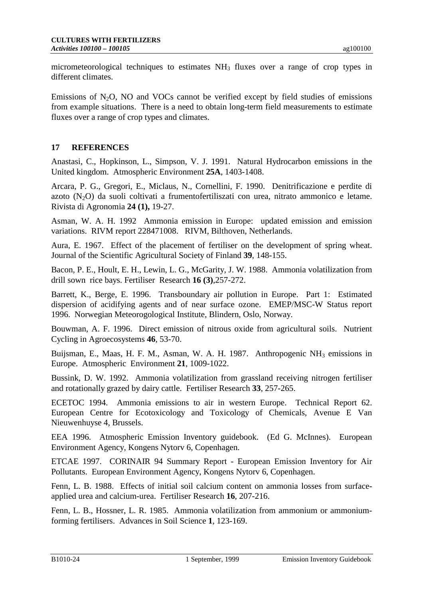micrometeorological techniques to estimates  $NH<sub>3</sub>$  fluxes over a range of crop types in different climates.

Emissions of  $N_2O$ , NO and VOCs cannot be verified except by field studies of emissions from example situations. There is a need to obtain long-term field measurements to estimate fluxes over a range of crop types and climates.

# **17 REFERENCES**

Anastasi, C., Hopkinson, L., Simpson, V. J. 1991. Natural Hydrocarbon emissions in the United kingdom. Atmospheric Environment **25A**, 1403-1408.

Arcara, P. G., Gregori, E., Miclaus, N., Cornellini, F. 1990. Denitrificazione e perdite di azoto  $(N_2O)$  da suoli coltivati a frumentofertiliszati con urea, nitrato ammonico e letame. Rivista di Agronomia **24 (1),** 19-27.

Asman, W. A. H. 1992 Ammonia emission in Europe: updated emission and emission variations. RIVM report 228471008. RIVM, Bilthoven, Netherlands.

Aura, E. 1967. Effect of the placement of fertiliser on the development of spring wheat. Journal of the Scientific Agricultural Society of Finland **39**, 148-155.

Bacon, P. E., Hoult, E. H., Lewin, L. G., McGarity, J. W. 1988. Ammonia volatilization from drill sown rice bays. Fertiliser Research **16 (3)**,257-272.

Barrett, K., Berge, E. 1996. Transboundary air pollution in Europe. Part 1: Estimated dispersion of acidifying agents and of near surface ozone. EMEP/MSC-W Status report 1996. Norwegian Meteorogological Institute, Blindern, Oslo, Norway.

Bouwman, A. F. 1996. Direct emission of nitrous oxide from agricultural soils. Nutrient Cycling in Agroecosystems **46**, 53-70.

Buijsman, E., Maas, H. F. M., Asman, W. A. H. 1987. Anthropogenic NH<sub>3</sub> emissions in Europe. Atmospheric Environment **21**, 1009-1022.

Bussink, D. W. 1992. Ammonia volatilization from grassland receiving nitrogen fertiliser and rotationally grazed by dairy cattle. Fertiliser Research **33**, 257-265.

ECETOC 1994. Ammonia emissions to air in western Europe. Technical Report 62. European Centre for Ecotoxicology and Toxicology of Chemicals, Avenue E Van Nieuwenhuyse 4, Brussels.

EEA 1996. Atmospheric Emission Inventory guidebook. (Ed G. McInnes). European Environment Agency, Kongens Nytorv 6, Copenhagen.

ETCAE 1997. CORINAIR 94 Summary Report - European Emission Inventory for Air Pollutants. European Environment Agency, Kongens Nytorv 6, Copenhagen.

Fenn, L. B. 1988. Effects of initial soil calcium content on ammonia losses from surfaceapplied urea and calcium-urea. Fertiliser Research **16**, 207-216.

Fenn, L. B., Hossner, L. R. 1985. Ammonia volatilization from ammonium or ammoniumforming fertilisers. Advances in Soil Science **1**, 123-169.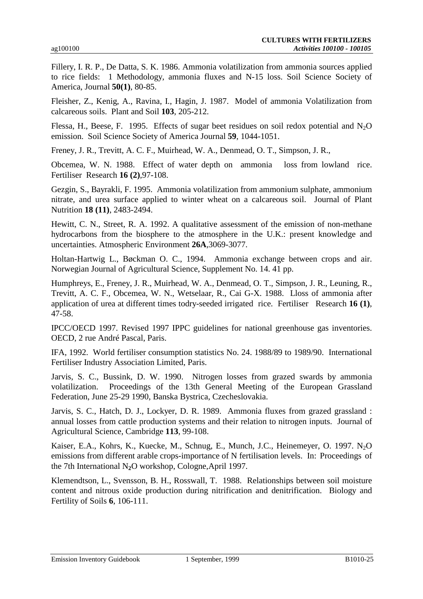Fillery, I. R. P., De Datta, S. K. 1986. Ammonia volatilization from ammonia sources applied to rice fields: 1 Methodology, ammonia fluxes and N-15 loss. Soil Science Society of America, Journal **50(1)**, 80-85.

Fleisher, Z., Kenig, A., Ravina, I., Hagin, J. 1987. Model of ammonia Volatilization from calcareous soils. Plant and Soil **103**, 205-212.

Flessa, H., Beese, F. 1995. Effects of sugar beet residues on soil redox potential and  $N_2O$ emission. Soil Science Society of America Journal **59**, 1044-1051.

Freney, J. R., Trevitt, A. C. F., Muirhead, W. A., Denmead, O. T., Simpson, J. R.,

Obcemea, W. N. 1988. Effect of water depth on ammonia loss from lowland rice. Fertiliser Research **16 (2)**,97-108.

Gezgin, S., Bayrakli, F. 1995. Ammonia volatilization from ammonium sulphate, ammonium nitrate, and urea surface applied to winter wheat on a calcareous soil. Journal of Plant Nutrition **18 (11)**, 2483-2494.

Hewitt, C. N., Street, R. A. 1992. A qualitative assessment of the emission of non-methane hydrocarbons from the biosphere to the atmosphere in the U.K.: present knowledge and uncertainties. Atmospheric Environment **26A**,3069-3077.

Holtan-Hartwig L., Bøckman O. C., 1994. Ammonia exchange between crops and air. Norwegian Journal of Agricultural Science, Supplement No. 14. 41 pp.

Humphreys, E., Freney, J. R., Muirhead, W. A., Denmead, O. T., Simpson, J. R., Leuning, R., Trevitt, A. C. F., Obcemea, W. N., Wetselaar, R., Cai G-X. 1988. Lloss of ammonia after application of urea at different times todry-seeded irrigated rice. Fertiliser Research **16 (1)**, 47-58.

IPCC/OECD 1997. Revised 1997 IPPC guidelines for national greenhouse gas inventories. OECD, 2 rue André Pascal, Paris.

IFA, 1992. World fertiliser consumption statistics No. 24. 1988/89 to 1989/90. International Fertiliser Industry Association Limited, Paris.

Jarvis, S. C., Bussink, D. W. 1990. Nitrogen losses from grazed swards by ammonia volatilization. Proceedings of the 13th General Meeting of the European Grassland Federation, June 25-29 1990, Banska Bystrica, Czecheslovakia.

Jarvis, S. C., Hatch, D. J., Lockyer, D. R. 1989. Ammonia fluxes from grazed grassland : annual losses from cattle production systems and their relation to nitrogen inputs. Journal of Agricultural Science, Cambridge **113**, 99-108.

Kaiser, E.A., Kohrs, K., Kuecke, M., Schnug, E., Munch, J.C., Heinemeyer, O. 1997. N<sub>2</sub>O emissions from different arable crops-importance of N fertilisation levels. In: Proceedings of the 7th International N**2**O workshop, Cologne,April 1997.

Klemendtson, L., Svensson, B. H., Rosswall, T. 1988. Relationships between soil moisture content and nitrous oxide production during nitrification and denitrification. Biology and Fertility of Soils **6**, 106-111.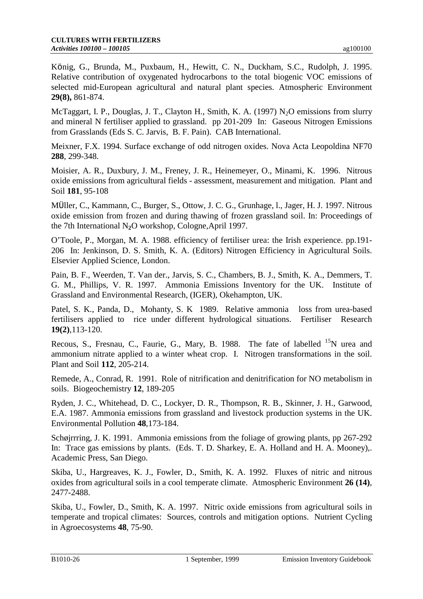König, G., Brunda, M., Puxbaum, H., Hewitt, C. N., Duckham, S.C., Rudolph, J. 1995. Relative contribution of oxygenated hydrocarbons to the total biogenic VOC emissions of selected mid-European agricultural and natural plant species. Atmospheric Environment **29(8),** 861-874.

McTaggart, I. P., Douglas, J. T., Clayton H., Smith, K. A. (1997) N<sub>2</sub>O emissions from slurry and mineral N fertiliser applied to grassland. pp 201-209 In: Gaseous Nitrogen Emissions from Grasslands (Eds S. C. Jarvis, B. F. Pain). CAB International.

Meixner, F.X. 1994. Surface exchange of odd nitrogen oxides. Nova Acta Leopoldina NF70 **288**, 299-348.

Moisier, A. R., Duxbury, J. M., Freney, J. R., Heinemeyer, O., Minami, K. 1996. Nitrous oxide emissions from agricultural fields - assessment, measurement and mitigation. Plant and Soil **181**, 95-108

MÜller, C., Kammann, C., Burger, S., Ottow, J. C. G., Grunhage, l., Jager, H. J. 1997. Nitrous oxide emission from frozen and during thawing of frozen grassland soil. In: Proceedings of the 7th International N**2**O workshop, Cologne,April 1997.

O'Toole, P., Morgan, M. A. 1988. efficiency of fertiliser urea: the Irish experience. pp.191- 206 In: Jenkinson, D. S. Smith, K. A. (Editors) Nitrogen Efficiency in Agricultural Soils. Elsevier Applied Science, London.

Pain, B. F., Weerden, T. Van der., Jarvis, S. C., Chambers, B. J., Smith, K. A., Demmers, T. G. M., Phillips, V. R. 1997. Ammonia Emissions Inventory for the UK. Institute of Grassland and Environmental Research, (IGER), Okehampton, UK.

Patel, S. K., Panda, D., Mohanty, S. K 1989. Relative ammonia loss from urea-based fertilisers applied to rice under different hydrological situations. Fertiliser Research **19(2)**,113-120.

Recous, S., Fresnau, C., Faurie, G., Mary, B. 1988. The fate of labelled <sup>15</sup>N urea and ammonium nitrate applied to a winter wheat crop. I. Nitrogen transformations in the soil. Plant and Soil **112**, 205-214.

Remede, A., Conrad, R. 1991. Role of nitrification and denitrification for NO metabolism in soils. Biogeochemistry **12**, 189-205

Ryden, J. C., Whitehead, D. C., Lockyer, D. R., Thompson, R. B., Skinner, J. H., Garwood, E.A. 1987. Ammonia emissions from grassland and livestock production systems in the UK. Environmental Pollution **48**,173-184.

Schøjrrring, J. K. 1991. Ammonia emissions from the foliage of growing plants, pp 267-292 In: Trace gas emissions by plants. (Eds. T. D. Sharkey, E. A. Holland and H. A. Mooney),. Academic Press, San Diego.

Skiba, U., Hargreaves, K. J., Fowler, D., Smith, K. A. 1992. Fluxes of nitric and nitrous oxides from agricultural soils in a cool temperate climate. Atmospheric Environment **26 (14)**, 2477-2488.

Skiba, U., Fowler, D., Smith, K. A. 1997. Nitric oxide emissions from agricultural soils in temperate and tropical climates: Sources, controls and mitigation options. Nutrient Cycling in Agroecosystems **48**, 75-90.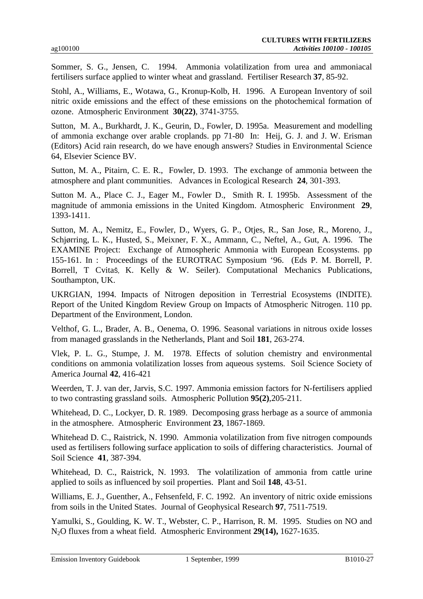Sommer, S. G., Jensen, C. 1994. Ammonia volatilization from urea and ammoniacal fertilisers surface applied to winter wheat and grassland. Fertiliser Research **37**, 85-92.

Stohl, A., Williams, E., Wotawa, G., Kronup-Kolb, H. 1996. A European Inventory of soil nitric oxide emissions and the effect of these emissions on the photochemical formation of ozone. Atmospheric Environment **30(22)**, 3741-3755.

Sutton, M. A., Burkhardt, J. K., Geurin, D., Fowler, D. 1995a. Measurement and modelling of ammonia exchange over arable croplands. pp 71-80 In: Heij, G. J. and J. W. Erisman (Editors) Acid rain research, do we have enough answers? Studies in Environmental Science 64, Elsevier Science BV.

Sutton, M. A., Pitairn, C. E. R., Fowler, D. 1993. The exchange of ammonia between the atmosphere and plant communities. Advances in Ecological Research **24**, 301-393.

Sutton M. A., Place C. J., Eager M., Fowler D., Smith R. I. 1995b. Assessment of the magnitude of ammonia emissions in the United Kingdom. Atmospheric Environment **29**, 1393-1411.

Sutton, M. A., Nemitz, E., Fowler, D., Wyers, G. P., Otjes, R., San Jose, R., Moreno, J., Schjørring, L. K., Husted, S., Meixner, F. X., Ammann, C., Neftel, A., Gut, A. 1996. The EXAMINE Project: Exchange of Atmospheric Ammonia with European Ecosystems. pp 155-161. In : Proceedings of the EUROTRAC Symposium '96. (Eds P. M. Borrell, P. Borrell, T Cvitaš, K. Kelly & W. Seiler). Computational Mechanics Publications, Southampton, UK.

UKRGIAN, 1994. Impacts of Nitrogen deposition in Terrestrial Ecosystems (INDITE). Report of the United Kingdom Review Group on Impacts of Atmospheric Nitrogen. 110 pp. Department of the Environment, London.

Velthof, G. L., Brader, A. B., Oenema, O. 1996. Seasonal variations in nitrous oxide losses from managed grasslands in the Netherlands, Plant and Soil **181**, 263-274.

Vlek, P. L. G., Stumpe, J. M. 1978. Effects of solution chemistry and environmental conditions on ammonia volatilization losses from aqueous systems. Soil Science Society of America Journal **42**, 416-421

Weerden, T. J. van der, Jarvis, S.C. 1997. Ammonia emission factors for N-fertilisers applied to two contrasting grassland soils. Atmospheric Pollution **95(2)**,205-211.

Whitehead, D. C., Lockyer, D. R. 1989. Decomposing grass herbage as a source of ammonia in the atmosphere. Atmospheric Environment **23**, 1867-1869.

Whitehead D. C., Raistrick, N. 1990. Ammonia volatilization from five nitrogen compounds used as fertilisers following surface application to soils of differing characteristics. Journal of Soil Science **41**, 387-394.

Whitehead, D. C., Raistrick, N. 1993. The volatilization of ammonia from cattle urine applied to soils as influenced by soil properties. Plant and Soil **148**, 43-51.

Williams, E. J., Guenther, A., Fehsenfeld, F. C. 1992. An inventory of nitric oxide emissions from soils in the United States. Journal of Geophysical Research **97**, 7511-7519.

Yamulki, S., Goulding, K. W. T., Webster, C. P., Harrison, R. M. 1995. Studies on NO and N2O fluxes from a wheat field. Atmospheric Environment **29(14),** 1627-1635.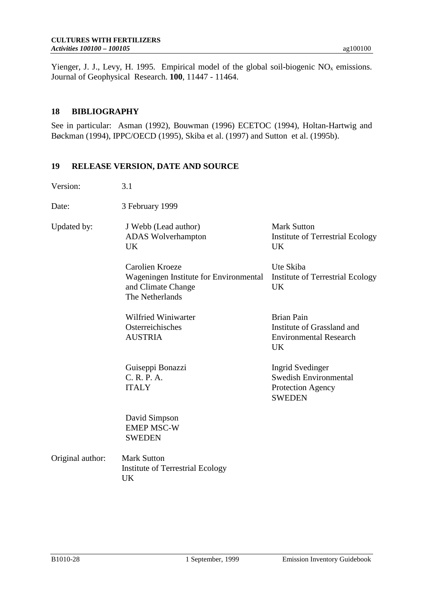Yienger, J. J., Levy, H. 1995. Empirical model of the global soil-biogenic  $NO<sub>x</sub>$  emissions. Journal of Geophysical Research. **100**, 11447 - 11464.

#### **18 BIBLIOGRAPHY**

See in particular: Asman (1992), Bouwman (1996) ECETOC (1994), Holtan-Hartwig and Bøckman (1994), IPPC/OECD (1995), Skiba et al. (1997) and Sutton et al. (1995b).

### **19 RELEASE VERSION, DATE AND SOURCE**

| Version:         | 3.1                                                                                                |                                                                                                      |
|------------------|----------------------------------------------------------------------------------------------------|------------------------------------------------------------------------------------------------------|
| Date:            | 3 February 1999                                                                                    |                                                                                                      |
| Updated by:      | J Webb (Lead author)<br><b>ADAS</b> Wolverhampton<br><b>UK</b>                                     | <b>Mark Sutton</b><br><b>Institute of Terrestrial Ecology</b><br><b>UK</b>                           |
|                  | Carolien Kroeze<br>Wageningen Institute for Environmental<br>and Climate Change<br>The Netherlands | Ute Skiba<br><b>Institute of Terrestrial Ecology</b><br><b>UK</b>                                    |
|                  | <b>Wilfried Winiwarter</b><br>Osterreichisches<br><b>AUSTRIA</b>                                   | <b>Brian Pain</b><br>Institute of Grassland and<br><b>Environmental Research</b><br><b>UK</b>        |
|                  | Guiseppi Bonazzi<br>C. R. P. A.<br><b>ITALY</b>                                                    | <b>Ingrid Svedinger</b><br><b>Swedish Environmental</b><br><b>Protection Agency</b><br><b>SWEDEN</b> |
|                  | David Simpson<br><b>EMEP MSC-W</b><br><b>SWEDEN</b>                                                |                                                                                                      |
| Original author: | <b>Mark Sutton</b><br><b>Institute of Terrestrial Ecology</b><br>UK                                |                                                                                                      |